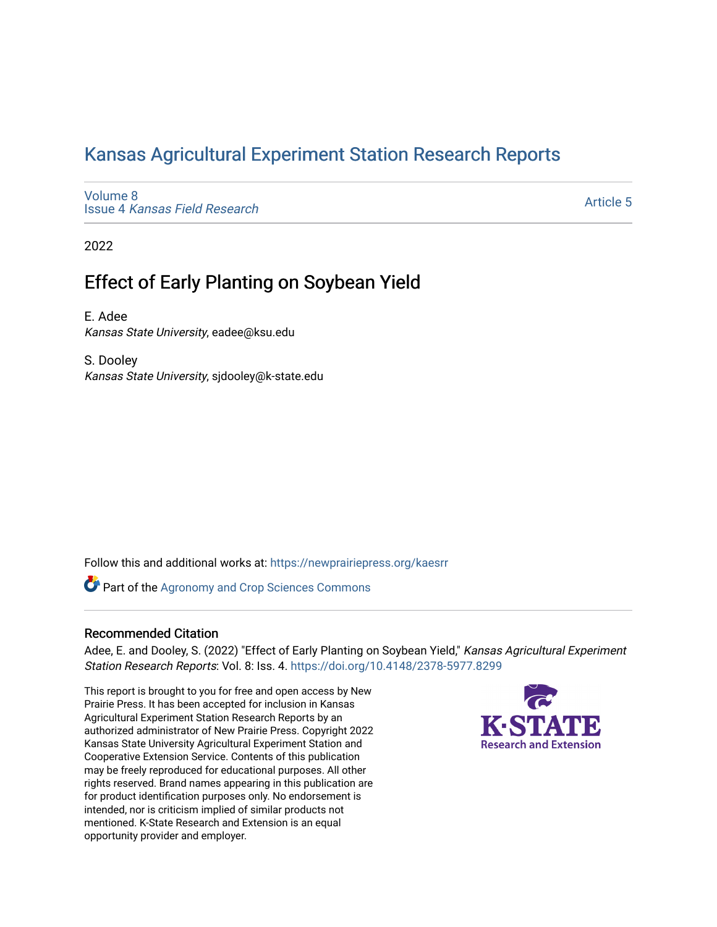## [Kansas Agricultural Experiment Station Research Reports](https://newprairiepress.org/kaesrr)

[Volume 8](https://newprairiepress.org/kaesrr/vol8) Issue 4 [Kansas Field Research](https://newprairiepress.org/kaesrr/vol8/iss4) 

[Article 5](https://newprairiepress.org/kaesrr/vol8/iss4/5) 

2022

## Effect of Early Planting on Soybean Yield

E. Adee Kansas State University, eadee@ksu.edu

S. Dooley Kansas State University, sjdooley@k-state.edu

Follow this and additional works at: [https://newprairiepress.org/kaesrr](https://newprairiepress.org/kaesrr?utm_source=newprairiepress.org%2Fkaesrr%2Fvol8%2Fiss4%2F5&utm_medium=PDF&utm_campaign=PDFCoverPages) 

Part of the [Agronomy and Crop Sciences Commons](https://network.bepress.com/hgg/discipline/103?utm_source=newprairiepress.org%2Fkaesrr%2Fvol8%2Fiss4%2F5&utm_medium=PDF&utm_campaign=PDFCoverPages) 

### Recommended Citation

Adee, E. and Dooley, S. (2022) "Effect of Early Planting on Soybean Yield," Kansas Agricultural Experiment Station Research Reports: Vol. 8: Iss. 4.<https://doi.org/10.4148/2378-5977.8299>

This report is brought to you for free and open access by New Prairie Press. It has been accepted for inclusion in Kansas Agricultural Experiment Station Research Reports by an authorized administrator of New Prairie Press. Copyright 2022 Kansas State University Agricultural Experiment Station and Cooperative Extension Service. Contents of this publication may be freely reproduced for educational purposes. All other rights reserved. Brand names appearing in this publication are for product identification purposes only. No endorsement is intended, nor is criticism implied of similar products not mentioned. K-State Research and Extension is an equal opportunity provider and employer.

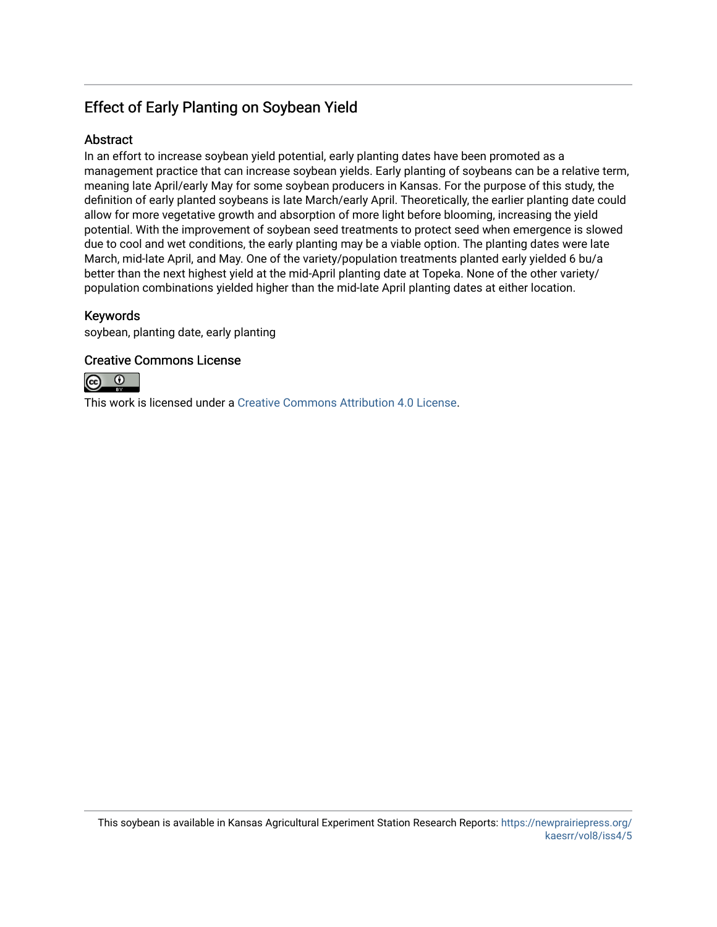## Effect of Early Planting on Soybean Yield

### **Abstract**

In an effort to increase soybean yield potential, early planting dates have been promoted as a management practice that can increase soybean yields. Early planting of soybeans can be a relative term, meaning late April/early May for some soybean producers in Kansas. For the purpose of this study, the definition of early planted soybeans is late March/early April. Theoretically, the earlier planting date could allow for more vegetative growth and absorption of more light before blooming, increasing the yield potential. With the improvement of soybean seed treatments to protect seed when emergence is slowed due to cool and wet conditions, the early planting may be a viable option. The planting dates were late March, mid-late April, and May. One of the variety/population treatments planted early yielded 6 bu/a better than the next highest yield at the mid-April planting date at Topeka. None of the other variety/ population combinations yielded higher than the mid-late April planting dates at either location.

### Keywords

soybean, planting date, early planting

### Creative Commons License



This work is licensed under a [Creative Commons Attribution 4.0 License](https://creativecommons.org/licenses/by/4.0/).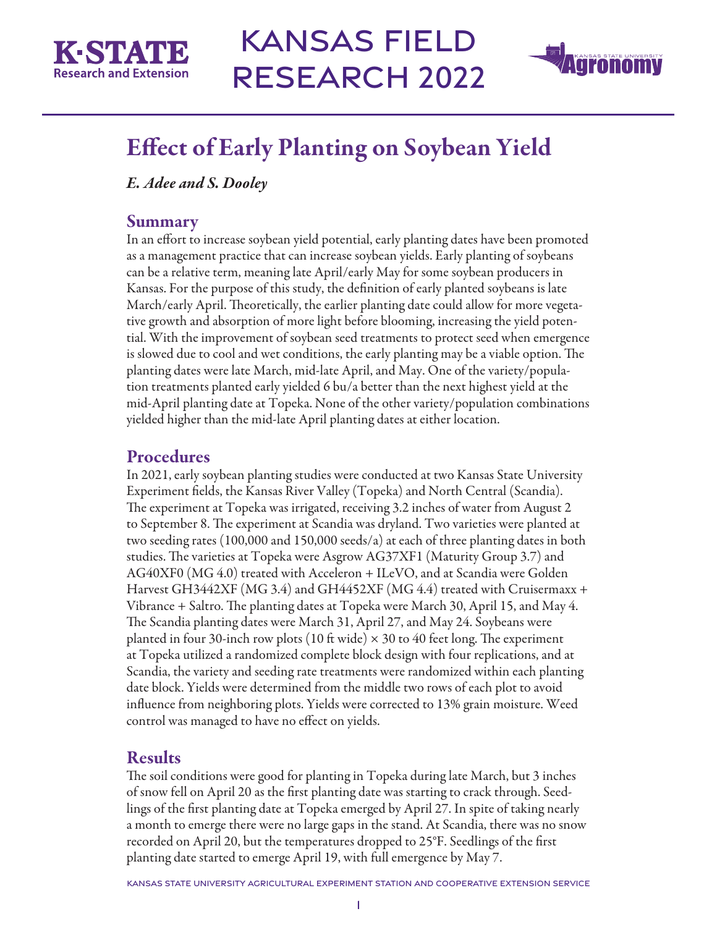

# Kansas Field Research 2022



## Effect of Early Planting on Soybean Yield

*E. Adee and S. Dooley*

### **Summary**

In an effort to increase soybean yield potential, early planting dates have been promoted as a management practice that can increase soybean yields. Early planting of soybeans can be a relative term, meaning late April/early May for some soybean producers in Kansas. For the purpose of this study, the definition of early planted soybeans is late March/early April. Theoretically, the earlier planting date could allow for more vegetative growth and absorption of more light before blooming, increasing the yield potential. With the improvement of soybean seed treatments to protect seed when emergence is slowed due to cool and wet conditions, the early planting may be a viable option. The planting dates were late March, mid-late April, and May. One of the variety/population treatments planted early yielded 6 bu/a better than the next highest yield at the mid-April planting date at Topeka. None of the other variety/population combinations yielded higher than the mid-late April planting dates at either location.

## Procedures

In 2021, early soybean planting studies were conducted at two Kansas State University Experiment fields, the Kansas River Valley (Topeka) and North Central (Scandia). The experiment at Topeka was irrigated, receiving 3.2 inches of water from August 2 to September 8. The experiment at Scandia was dryland. Two varieties were planted at two seeding rates (100,000 and 150,000 seeds/a) at each of three planting dates in both studies. The varieties at Topeka were Asgrow AG37XF1 (Maturity Group 3.7) and AG40XF0 (MG 4.0) treated with Acceleron + ILeVO, and at Scandia were Golden Harvest GH3442XF (MG 3.4) and GH4452XF (MG 4.4) treated with Cruisermaxx + Vibrance + Saltro. The planting dates at Topeka were March 30, April 15, and May 4. The Scandia planting dates were March 31, April 27, and May 24. Soybeans were planted in four 30-inch row plots (10 ft wide)  $\times$  30 to 40 feet long. The experiment at Topeka utilized a randomized complete block design with four replications, and at Scandia, the variety and seeding rate treatments were randomized within each planting date block. Yields were determined from the middle two rows of each plot to avoid influence from neighboring plots. Yields were corrected to 13% grain moisture. Weed control was managed to have no effect on yields.

## Results

The soil conditions were good for planting in Topeka during late March, but 3 inches of snow fell on April 20 as the first planting date was starting to crack through. Seedlings of the first planting date at Topeka emerged by April 27. In spite of taking nearly a month to emerge there were no large gaps in the stand. At Scandia, there was no snow recorded on April 20, but the temperatures dropped to 25°F. Seedlings of the first planting date started to emerge April 19, with full emergence by May 7.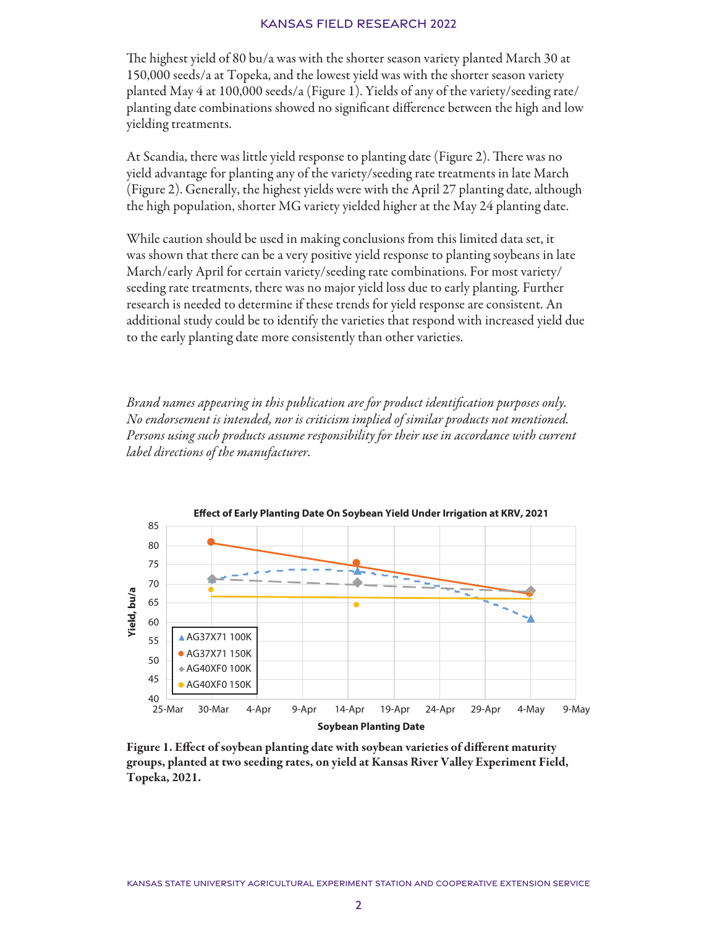### Kansas Field Research 2022

The highest yield of 80 bu/a was with the shorter season variety planted March 30 at 150,000 seeds/a at Topeka, and the lowest yield was with the shorter season variety planted May 4 at 100,000 seeds/a (Figure 1). Yields of any of the variety/seeding rate/ planting date combinations showed no significant difference between the high and low yielding treatments.

At Scandia, there was little yield response to planting date (Figure 2). There was no yield advantage for planting any of the variety/seeding rate treatments in late March (Figure 2). Generally, the highest yields were with the April 27 planting date, although the high population, shorter MG variety yielded higher at the May 24 planting date.

While caution should be used in making conclusions from this limited data set, it was shown that there can be a very positive yield response to planting soybeans in late March/early April for certain variety/seeding rate combinations. For most variety/ seeding rate treatments, there was no major yield loss due to early planting. Further research is needed to determine if these trends for yield response are consistent. An additional study could be to identify the varieties that respond with increased yield due to the early planting date more consistently than other varieties.

*Brand names appearing in this publication are for product identification purposes only. No endorsement is intended, nor is criticism implied of similar products not mentioned. Persons using such products assume responsibility for their use in accordance with current label directions of the manufacturer.*



Figure 1. Effect of soybean planting date with soybean varieties of different maturity groups, planted at two seeding rates, on yield at Kansas River Valley Experiment Field, Topeka, 2021.